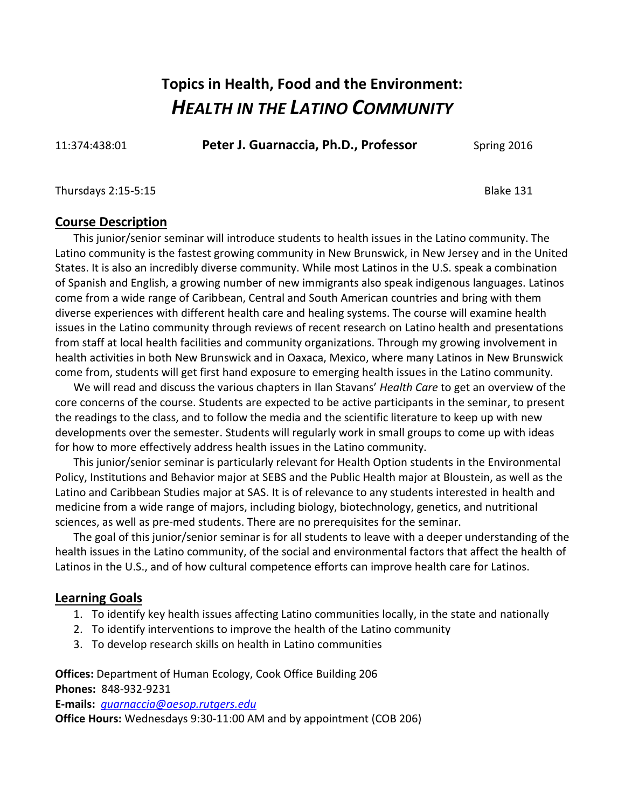# **Topics in Health, Food and the Environment:** *HEALTH IN THE LATINO COMMUNITY*

11:374:438:01 **Peter J. Guarnaccia, Ph.D., Professor** Spring 2016

#### Thursdays 2:15-5:15 **Blake 131**

#### **Course Description**

This junior/senior seminar will introduce students to health issues in the Latino community. The Latino community is the fastest growing community in New Brunswick, in New Jersey and in the United States. It is also an incredibly diverse community. While most Latinos in the U.S. speak a combination of Spanish and English, a growing number of new immigrants also speak indigenous languages. Latinos come from a wide range of Caribbean, Central and South American countries and bring with them diverse experiences with different health care and healing systems. The course will examine health issues in the Latino community through reviews of recent research on Latino health and presentations from staff at local health facilities and community organizations. Through my growing involvement in health activities in both New Brunswick and in Oaxaca, Mexico, where many Latinos in New Brunswick come from, students will get first hand exposure to emerging health issues in the Latino community.

We will read and discuss the various chapters in Ilan Stavans' *Health Care* to get an overview of the core concerns of the course. Students are expected to be active participants in the seminar, to present the readings to the class, and to follow the media and the scientific literature to keep up with new developments over the semester. Students will regularly work in small groups to come up with ideas for how to more effectively address health issues in the Latino community.

This junior/senior seminar is particularly relevant for Health Option students in the Environmental Policy, Institutions and Behavior major at SEBS and the Public Health major at Bloustein, as well as the Latino and Caribbean Studies major at SAS. It is of relevance to any students interested in health and medicine from a wide range of majors, including biology, biotechnology, genetics, and nutritional sciences, as well as pre-med students. There are no prerequisites for the seminar.

The goal of this junior/senior seminar is for all students to leave with a deeper understanding of the health issues in the Latino community, of the social and environmental factors that affect the health of Latinos in the U.S., and of how cultural competence efforts can improve health care for Latinos.

#### **Learning Goals**

- 1. To identify key health issues affecting Latino communities locally, in the state and nationally
- 2. To identify interventions to improve the health of the Latino community
- 3. To develop research skills on health in Latino communities

**Offices:** Department of Human Ecology, Cook Office Building 206

**Phones:** 848-932-9231

**E-mails:** *[guarnaccia@aesop.rutgers.edu](mailto:guarnaccia@aesop.rutgers.edu)*

**Office Hours:** Wednesdays 9:30-11:00 AM and by appointment (COB 206)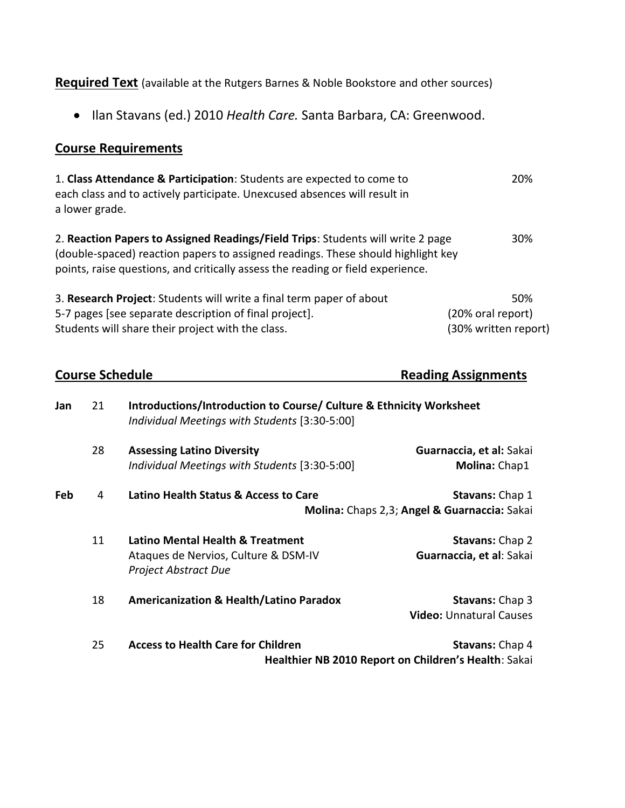**Required Text** (available at the Rutgers Barnes & Noble Bookstore and other sources)

Ilan Stavans (ed.) 2010 *Health Care.* Santa Barbara, CA: Greenwood.

### **Course Requirements**

| 1. Class Attendance & Participation: Students are expected to come to<br>each class and to actively participate. Unexcused absences will result in<br>a lower grade.                                                                                   | 20%                  |
|--------------------------------------------------------------------------------------------------------------------------------------------------------------------------------------------------------------------------------------------------------|----------------------|
| 2. Reaction Papers to Assigned Readings/Field Trips: Students will write 2 page<br>(double-spaced) reaction papers to assigned readings. These should highlight key<br>points, raise questions, and critically assess the reading or field experience. | 30%                  |
| 3. Research Project: Students will write a final term paper of about                                                                                                                                                                                   | 50%                  |
| 5-7 pages [see separate description of final project].                                                                                                                                                                                                 | (20% oral report)    |
| Students will share their project with the class.                                                                                                                                                                                                      | (30% written report) |

| <b>Course Schedule</b> |    |                                                                                                                      | <b>Reading Assignments</b>                                                     |  |
|------------------------|----|----------------------------------------------------------------------------------------------------------------------|--------------------------------------------------------------------------------|--|
| Jan                    | 21 | Introductions/Introduction to Course/ Culture & Ethnicity Worksheet<br>Individual Meetings with Students [3:30-5:00] |                                                                                |  |
|                        | 28 | <b>Assessing Latino Diversity</b><br>Individual Meetings with Students [3:30-5:00]                                   | Guarnaccia, et al: Sakai<br>Molina: Chap1                                      |  |
| Feb                    | 4  | Latino Health Status & Access to Care                                                                                | Stavans: Chap 1<br>Molina: Chaps 2,3; Angel & Guarnaccia: Sakai                |  |
|                        | 11 | Latino Mental Health & Treatment<br>Ataques de Nervios, Culture & DSM-IV<br><b>Project Abstract Due</b>              | <b>Stavans: Chap 2</b><br>Guarnaccia, et al: Sakai                             |  |
|                        | 18 | <b>Americanization &amp; Health/Latino Paradox</b>                                                                   | <b>Stavans: Chap 3</b><br><b>Video: Unnatural Causes</b>                       |  |
|                        | 25 | <b>Access to Health Care for Children</b>                                                                            | <b>Stavans: Chap 4</b><br>Healthier NB 2010 Report on Children's Health: Sakai |  |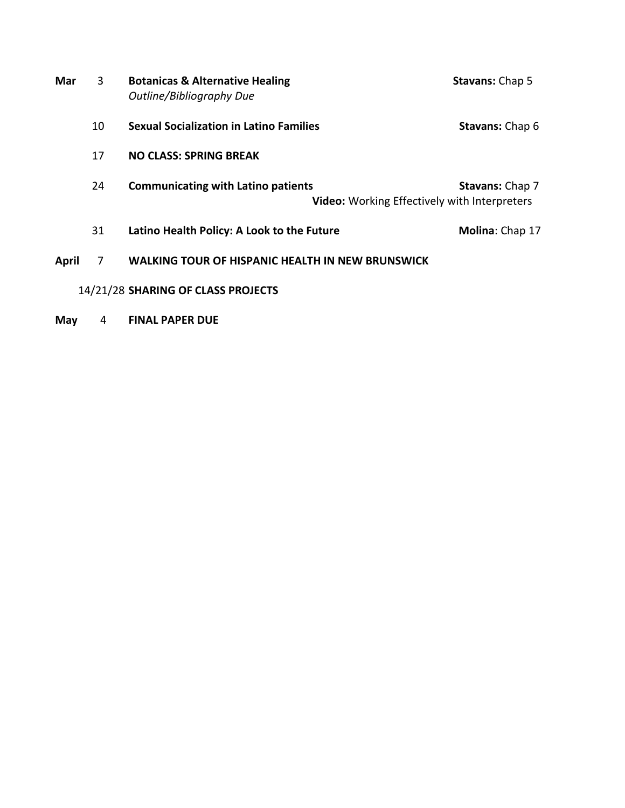| Mar          | 3  | <b>Botanicas &amp; Alternative Healing</b><br>Outline/Bibliography Due                           | <b>Stavans: Chap 5</b> |
|--------------|----|--------------------------------------------------------------------------------------------------|------------------------|
|              | 10 | <b>Sexual Socialization in Latino Families</b>                                                   | <b>Stavans: Chap 6</b> |
|              | 17 | <b>NO CLASS: SPRING BREAK</b>                                                                    |                        |
|              | 24 | <b>Communicating with Latino patients</b><br><b>Video:</b> Working Effectively with Interpreters | <b>Stavans: Chap 7</b> |
|              | 31 | Latino Health Policy: A Look to the Future                                                       | Molina: Chap 17        |
| <b>April</b> | 7  | <b>WALKING TOUR OF HISPANIC HEALTH IN NEW BRUNSWICK</b>                                          |                        |
|              |    | 14/21/28 SHARING OF CLASS PROJECTS                                                               |                        |

**May** 4 **FINAL PAPER DUE**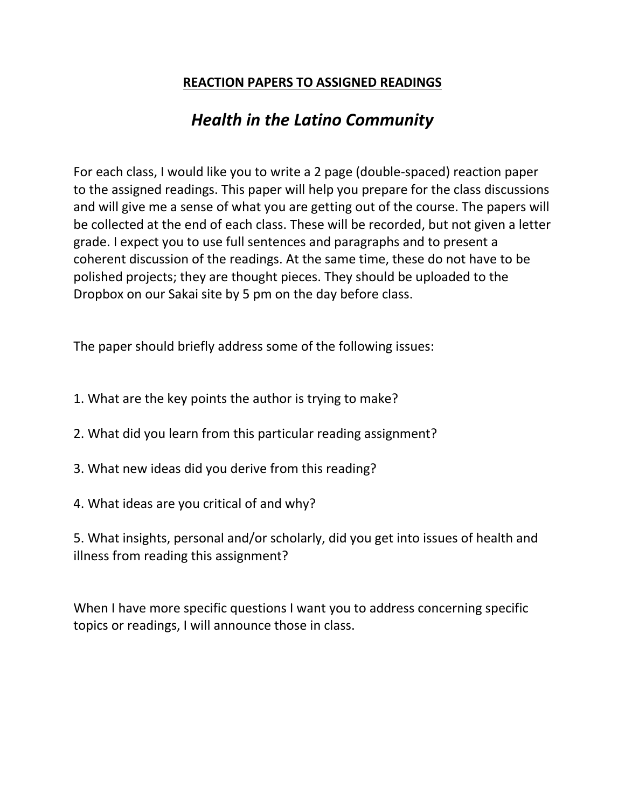## **REACTION PAPERS TO ASSIGNED READINGS**

## *Health in the Latino Community*

For each class, I would like you to write a 2 page (double-spaced) reaction paper to the assigned readings. This paper will help you prepare for the class discussions and will give me a sense of what you are getting out of the course. The papers will be collected at the end of each class. These will be recorded, but not given a letter grade. I expect you to use full sentences and paragraphs and to present a coherent discussion of the readings. At the same time, these do not have to be polished projects; they are thought pieces. They should be uploaded to the Dropbox on our Sakai site by 5 pm on the day before class.

The paper should briefly address some of the following issues:

- 1. What are the key points the author is trying to make?
- 2. What did you learn from this particular reading assignment?
- 3. What new ideas did you derive from this reading?
- 4. What ideas are you critical of and why?

5. What insights, personal and/or scholarly, did you get into issues of health and illness from reading this assignment?

When I have more specific questions I want you to address concerning specific topics or readings, I will announce those in class.